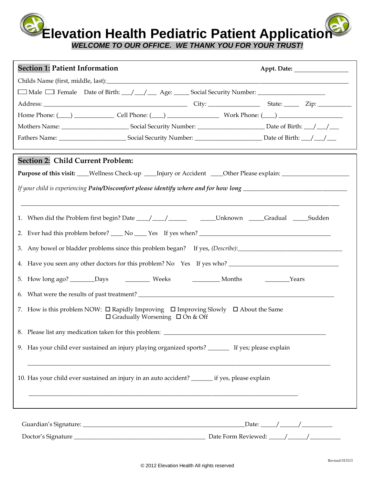**Elevation Health Pediatric Patient Application**

*WELCOME TO OUR OFFICE. WE THANK YOU FOR YOUR TRUST!*

| □ Male □ Female Date of Birth: _/ _/ _ Age: _ _ Social Security Number: _ _ _ _ _ _ _ _ _ _ _ _ _ _<br>Home Phone: $(\_\_\)$ $\_\_\_\_$ Cell Phone: $(\_\_\)$ $\_\_\_\_\_$ Work Phone: $(\_\_\)$<br>Section 2: Child Current Problem:<br>Purpose of this visit: ___Wellness Check-up ____Injury or Accident ____Other Please explain: _________________<br>1. When did the Problem first begin? Date ___/ ___/ _____ ______Unknown ____Gradual ____Sudden<br>3. Any bowel or bladder problems since this problem began? If yes, (Describe): _______________________________<br>4. Have you seen any other doctors for this problem? No Yes If yes who?<br>Months<br><b>Example 21</b> Years<br>7. How is this problem NOW: $\Box$ Rapidly Improving $\Box$ Improving Slowly $\Box$ About the Same<br>$\Box$ Gradually Worsening $\Box$ On & Off<br>8. Please list any medication taken for this problem: __________________________<br>9. Has your child ever sustained an injury playing organized sports? _______ If yes; please explain<br>10. Has your child ever sustained an injury in an auto accident? _______ if yes, please explain | <b>Section 1: Patient Information</b> |  |  |  |
|-----------------------------------------------------------------------------------------------------------------------------------------------------------------------------------------------------------------------------------------------------------------------------------------------------------------------------------------------------------------------------------------------------------------------------------------------------------------------------------------------------------------------------------------------------------------------------------------------------------------------------------------------------------------------------------------------------------------------------------------------------------------------------------------------------------------------------------------------------------------------------------------------------------------------------------------------------------------------------------------------------------------------------------------------------------------------------------------------------------------------------------------------|---------------------------------------|--|--|--|
|                                                                                                                                                                                                                                                                                                                                                                                                                                                                                                                                                                                                                                                                                                                                                                                                                                                                                                                                                                                                                                                                                                                                               |                                       |  |  |  |
|                                                                                                                                                                                                                                                                                                                                                                                                                                                                                                                                                                                                                                                                                                                                                                                                                                                                                                                                                                                                                                                                                                                                               |                                       |  |  |  |
|                                                                                                                                                                                                                                                                                                                                                                                                                                                                                                                                                                                                                                                                                                                                                                                                                                                                                                                                                                                                                                                                                                                                               |                                       |  |  |  |
|                                                                                                                                                                                                                                                                                                                                                                                                                                                                                                                                                                                                                                                                                                                                                                                                                                                                                                                                                                                                                                                                                                                                               |                                       |  |  |  |
|                                                                                                                                                                                                                                                                                                                                                                                                                                                                                                                                                                                                                                                                                                                                                                                                                                                                                                                                                                                                                                                                                                                                               |                                       |  |  |  |
|                                                                                                                                                                                                                                                                                                                                                                                                                                                                                                                                                                                                                                                                                                                                                                                                                                                                                                                                                                                                                                                                                                                                               |                                       |  |  |  |
|                                                                                                                                                                                                                                                                                                                                                                                                                                                                                                                                                                                                                                                                                                                                                                                                                                                                                                                                                                                                                                                                                                                                               |                                       |  |  |  |
|                                                                                                                                                                                                                                                                                                                                                                                                                                                                                                                                                                                                                                                                                                                                                                                                                                                                                                                                                                                                                                                                                                                                               |                                       |  |  |  |
|                                                                                                                                                                                                                                                                                                                                                                                                                                                                                                                                                                                                                                                                                                                                                                                                                                                                                                                                                                                                                                                                                                                                               |                                       |  |  |  |
|                                                                                                                                                                                                                                                                                                                                                                                                                                                                                                                                                                                                                                                                                                                                                                                                                                                                                                                                                                                                                                                                                                                                               |                                       |  |  |  |
|                                                                                                                                                                                                                                                                                                                                                                                                                                                                                                                                                                                                                                                                                                                                                                                                                                                                                                                                                                                                                                                                                                                                               |                                       |  |  |  |
|                                                                                                                                                                                                                                                                                                                                                                                                                                                                                                                                                                                                                                                                                                                                                                                                                                                                                                                                                                                                                                                                                                                                               |                                       |  |  |  |
|                                                                                                                                                                                                                                                                                                                                                                                                                                                                                                                                                                                                                                                                                                                                                                                                                                                                                                                                                                                                                                                                                                                                               |                                       |  |  |  |
|                                                                                                                                                                                                                                                                                                                                                                                                                                                                                                                                                                                                                                                                                                                                                                                                                                                                                                                                                                                                                                                                                                                                               |                                       |  |  |  |
|                                                                                                                                                                                                                                                                                                                                                                                                                                                                                                                                                                                                                                                                                                                                                                                                                                                                                                                                                                                                                                                                                                                                               |                                       |  |  |  |
|                                                                                                                                                                                                                                                                                                                                                                                                                                                                                                                                                                                                                                                                                                                                                                                                                                                                                                                                                                                                                                                                                                                                               |                                       |  |  |  |
|                                                                                                                                                                                                                                                                                                                                                                                                                                                                                                                                                                                                                                                                                                                                                                                                                                                                                                                                                                                                                                                                                                                                               |                                       |  |  |  |